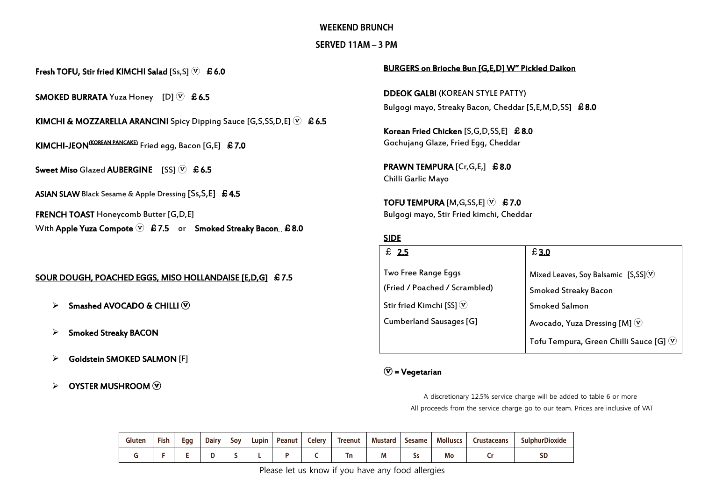#### **WEEKEND BRUNCH**

### SERVED 11AM - 3 PM

Fresh TOFU, Stir fried KIMCHI Salad [Ss, S]  $\overline{v}$  £ 6.0

**SMOKED BURRATA** Yuza Honey [D]  $\overline{V}$  £6.5

KIMCHI & MOZZARELLA ARANCINI Spicy Dipping Sauce [G,S,SS,D,E]  $\mathcal{F}$  £6.5

KIMCHI-JEON<sup>(KOREAN PANCAKE)</sup> Fried egg, Bacon [G,E] £7.0

Sweet Miso Glazed AUBERGINE  $[SS]$   $(\overline{v})$  £6.5

ASIAN SLAW Black Sesame & Apple Dressing [Ss, S, E] £ 4.5

FRENCH TOAST Honeycomb Butter [G,D,E] With Apple Yuza Compote  $\nabla$  £7.5 or Smoked Streaky Bacon £8.0

#### SOUR DOUGH, POACHED EGGS, MISO HOLLANDAISE [E,D,G] £7.5

- $\triangleright$  Smashed AVOCADO & CHILLI  $\widehat{V}$
- $\triangleright$  Smoked Streaky BACON
- Goldstein SMOKED SALMON [F]
- $\triangleright$  OYSTER MUSHROOM  $\widehat{v}$

#### BURGERS on Brioche Bun [G,E,D] W'' Pickled Daikon

DDEOK GALBI (KOREAN STYLE PATTY) Bulgogi mayo, Streaky Bacon, Cheddar [S,E,M,D,SS] £8.0

Korean Fried Chicken [S,G,D,SS,E] £8.0 Gochujang Glaze, Fried Egg, Cheddar

PRAWN TEMPURA [Cr, G, E,] £8.0 Chilli Garlic Mayo

TOFU TEMPURA [M, G, SS, E]  $(\triangledown)$  £7.0 Bulgogi mayo, Stir Fried kimchi, Cheddar

#### SIDE

| $\pounds$ 2.5                 | £3.0                                                |
|-------------------------------|-----------------------------------------------------|
| Two Free Range Eggs           | Mixed Leaves, Soy Balsamic [S,SS] $\circledcirc$    |
| (Fried / Poached / Scrambled) | <b>Smoked Streaky Bacon</b>                         |
| Stir fried Kimchi [SS] $\vee$ | <b>Smoked Salmon</b>                                |
| Cumberland Sausages [G]       | Avocado, Yuza Dressing [M] $\circled{v}$            |
|                               | Tofu Tempura, Green Chilli Sauce [G] $\circledcirc$ |

## $\circledcirc$  = Vegetarian

A discretionary 12.5% service charge will be added to table 6 or more All proceeds from the service charge go to our team. Prices are inclusive of VAT

| Gluten | Fish | Egg | <b>Dairy</b> | Sov | Lupin | Peanut | <b>Celery</b> | Treenut | <b>Mustard</b> | <b>Sesame</b> | <b>Molluscs</b> | rustaceans: | <b>SulphurDioxide</b> |
|--------|------|-----|--------------|-----|-------|--------|---------------|---------|----------------|---------------|-----------------|-------------|-----------------------|
|        |      |     |              |     |       |        |               |         | ,,,            | د ب           | Mo              |             | SD                    |

Please let us know if you have any food allergies